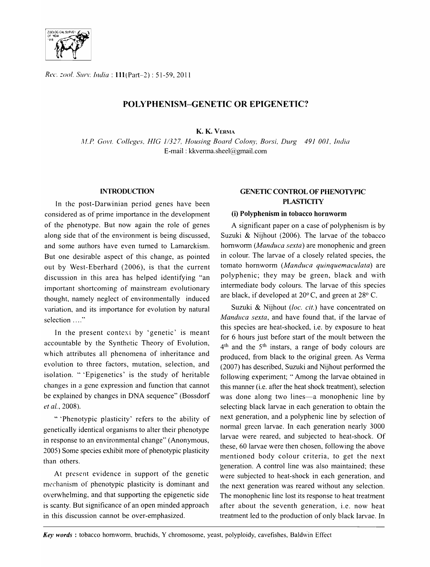

*Rl!(,.* =001. SlIn: *India:* 111(Part-2): 51-59,2011

# POLYPHENISM-GENETIC OR EPIGENETIC?

K. K. VERMA

*,H.P COl'f. ColIl!gl!5;, HIC* 1/327, *Housing Board C%n)" Borsi, Durg* 491 *001, India*  E-mail: kkvenna.sheel@gmail.com

### **INTRODUCTION**

In the post-Darwinian period genes have been considered as of prime importance in the development of the phenotype. But now again the role of genes along side that of the environment is being discussed, and some authors have even turned to Lamarckism. But one desirable aspect of this change, as pointed out by West-Eberhard (2006), is that the current discussion in this area has helped identifying "an important shortcoming of mainstream evolutionary thought, namely neglect of environmentally induced variation, and its importance for evolution by natural selection ...."

In the present context by 'genetic' is meant accountable by the Synthetic Theory of Evolution, which attributes all phenomena of inheritance and evolution to three factors, mutation, selection, and isolation. " 'Epigenetics' is the study of heritable changes in a gene expression and function that cannot be explained by changes in DNA sequence" (Bossdorf et al., 2008).

"'Phenotypic plasticity' refers to the ability of genetically identical organisms to alter their phenotype in response to an environmental change" (Anonymous, 2005) Some species exhibit more of phenotypic plasticity than others.

At present evidence in support of the genetic mechanism of phenotypic plasticity is dominant and overwhelming, and that supporting the epigenetic side is scanty. But significance of an open minded approach in this discussion cannot be over-emphasized.

# GENETIC CONTROL OF PHENOTYPIC **PLASTICITY**

### (i) PoIyphenism in tobacco hornworm

A significant paper on a case of polyphenism is by Suzuki & Nijhout (2006). The larvae of the tobacco hornworm *(Manduca sexta)* are monophenic and green in colour. The larvae of a closely related species, the tomato hornworm *(Manduca quinquemaculata)* are polyphenic; they may be green, black and with intermediate body colours. The larvae of this species are black, if developed at 20° C, and green at 28° C.

Suzuki & Nijhout *(loc. cit.)* have concentrated on *Manduca sexta,* and have found that, if the larvae of this species are heat-shocked, i.e. by exposure to heat for 6 hours just before start of the moult between the 4<sup>th</sup> and the 5<sup>th</sup> instars, a range of body colours are produced, from black to the original green. As Verma (2007) has described, Suzuki and Nijhout performed the following experiment; "Among the larvae obtained in this manner (i.e. after the heat shock treatment), selection was done along two lines-a monophenic line by selecting black larvae in each generation to obtain the next generation, and a polyphenic line by selection of normal green larvae. In each generation nearly 3000 larvae were reared, and subjected to heat-shock. Of these, 60 larvae were then chosen, following the above mentioned body colour criteria, to get the next generation. A control line was also maintained; these were subjected to heat-shock in each generation, and the next generation was reared without any selection. The monophenic line lost its response to heat treatment after about the seventh generation, i.e. now heat treatment led to the production of only black larvae. In

Key words: tobacco hornworm, bruchids, Y chromosome, yeast, polyploidy, cavefishes, Baldwin Effect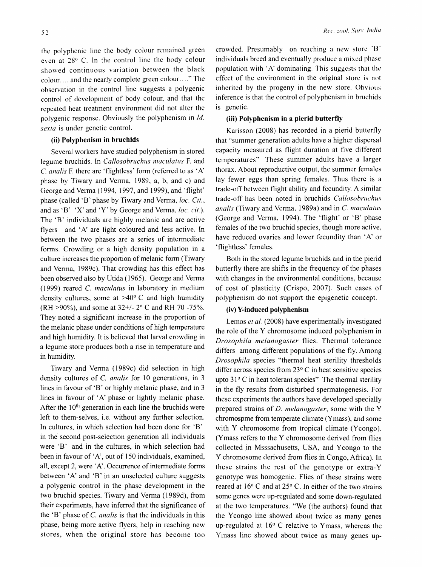the polyphenic line the body colour rcmained green even at  $28^{\circ}$  C. In the control line the body colour showed continuous variation between the black colour. ... and the nearly complete green colour. ... " The observation in the control line suggests a polygenic control of development of body colour, and that the repeated heat treatment environment did not alter the polygenic response. Obviously the polyphenism in *M. sexta* is under genetic control.

#### (ii) Polyphenism in bruchids

Several workers have studied polyphenism in stored legume bruchids. In *Callosobruchus maculatus* F. and C. *analis* F. there are 'flightless' form (referred to as 'A' phase by Tiwary and Venna, 1989, a, b, and c) and George and Venna (1994, 1997, and 1999), and 'flight' phase (called 'B' phase by Tiwary and Verma, loc. Cit., and as 'B' 'X' and 'Y' by George and Venna, *loc. cit.).*  The 'B' individuals are highly melanic and are active flyers and' A' are light coloured and less active. In between the two phases are a series of intermediate forms. Crowding or a high density population in a culture increases the proportion of melanic form (Tiwary and Venna, 1989c). That crowding has this effect has been observed also by Utida (1965). George and Verma (1999) reared C. *maculatus* in laboratory in medium density cultures, some at  $>40^{\circ}$  C and high humidity (RH >90%), and some at  $32+/2°$  C and RH 70 -75%. They noted a significant increase in the proportion of the melanic phase under conditions of high temperature and high humidity. It is believed that larval crowding in a legume store produces both a rise in temperature and in humidity.

Tiwary and Venna (1989c) did selection in high density cultures of C. *analis* for 10 generations, in 3 lines in favour of 'B' or highly melanic phase, and in 3 lines in favour of 'A' phase or lightly melanic phase. After the  $10<sup>th</sup>$  generation in each line the bruchids were left to them-selves, i.e. without any further selection. In cultures, in which selection had been done for 'B' in the second post -selection generation all individuals were 'B' and in the cultures, in which selection had been in favour of 'A', out of 150 individuals, examined, all, except 2, were 'A'. Occurrence of intermediate forms between 'A' and 'B' in an unselected culture suggests a polygenic control in the phase development in the two bruchid species. Tiwary and Venna (1989d), from their experiments, have infened that the significance of the 'B' phase of C. *analis* is that the individuals in this phase, being more active flyers, help in reaching new stores, when the original store has become too

crowded. Presumably on reaching a new store 'B' individuals breed and eventually produce a mixed phase population with 'A' dominating. This suggests that the effect of the environment in the original store is not inherited by the progeny in the new store. Obvious inference is that the control of polyphenism in bruchids is genetic.

## (iii) Polyphenism in a pierid butterfly

Karisson (2008) has recorded in a pierid butterfly that "summer generation adults have a higher dispersal capacity measured as flight duration at five different temperatures" These summer adults have a larger thorax. About reproductive output, the summer females lay fewer eggs than spring females. Thus there is a trade-off between flight ability and fecundity. A similar trade-off has been noted in bruchids *Callosobruchwi analis* (Tiwary and Verma, 1989a) and in C. *maeulatus*  (George and Venna, 1994). The 'flight' or 'B' phase females of the two bruchid species, though more active, have reduced ovaries and lower fecundity than 'A' or 'flightless' females.

Both in the stored legume bruchids and in the pierid butterfly there are shifts in the frequency of the phases with changes in the environmental conditions, because of cost of plasticity (Crispo, 2007). Such cases of polyphenism do not support the epigenetic concept.

## (iv) V-induced polyphenism

Lemos *et al.* (2008) have experimentally investigated the role of the Y chromosome induced polyphenism in *Drosophila melanogaster* flies. Thermal tolerance differs among different populations of the fly. Among *Drosophila* species "thermal heat sterility thresholds differ across species from 23° C in heat sensitive species upto  $31^{\circ}$  C in heat tolerant species" The thermal sterility in the fly results from disturbed spermatogenesis. For these experiments the authors have developed specially prepared strains of *D. melanogaster,* some with the Y chromospme from temperate climate (Y mass), and some with Y chromosome from tropical climate (Ycongo). (Ymass refers to the Y chromosome derived from flies collected in Msssachusetts, USA, and Y congo to the Y chromosome derived from flies in Congo, Africa). In these strains the rest of the genotype or extra-Y genotype was homogenic. Flies of these strains were reared at 16° C and at 25° C. In either of the two strains some genes were up-regulated and some down-regulated at the two temperatures. "We (the authors) found that the Ycongo line showed about twice as many genes up-regulated at 16° C relative to Ymass, whereas the Ymass line showed about twice as many genes up-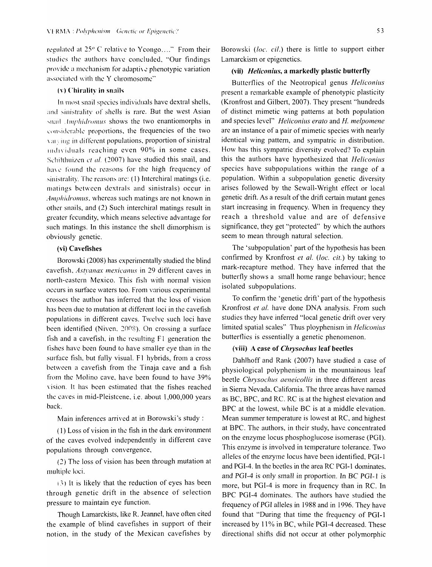regulated at 25<sup>o</sup> C relative to Ycongo...." From their studies the authors have concluded, "Our findings provide a mechanism for adapti\.: phenotypic variation associated with the Y chromosome"

#### $(v)$  Chirality in snails

In most snail species individuals have dextral shells, and sinistrality of shells is rare. But the west Asian snail *Amphidromus* shows the two enantiomorphs in considerable proportions, the frequencies of the two \ al.\ IIlg ill different populations, proportion of sinistral individuals reaching even 90% in some cases. Schilthuizen et al. (2007) have studied this snail, and have found the reasons for the high frequency of sinistrality. The reasons are:  $(1)$  Interchiral matings (i.e. matings between dextrals and sinistrals) occur in Amphidromus, whereas such matings are not known in other snails, and (2) Such interchiral matings result in greater fecundity, which means selective advantage for such matings. In this instance the shell dimorphism is obviously genetic.

## (vi) Cavefishes

Borowski (2008) has experimentally studied the blind cavefish, Astvanax mexicanus in 29 different caves in north-eastern Mexico. This fish with normal vision occurs in surface waters too. From various experimental crosses the author has infened that the loss of vision has been due to mutation at different loci in the cavefish populations in different caves. Twelve such loci have been identified (Niven, 2008). On crossing a surface fish and a cavefish, in the resulting  $F1$  generation the fishes have been found to have smaller eye than in the surface fish, but fully visual. F1 hybrids, from a cross between a cavefish from the Tinaja cave and a fish from the Molino cave, have been found to have 39% \ision. It has been estimated that the fishes reached the caves in mid-Pleistcene. i.e. about 1,000,000 years back.

Main inferences arrived at in Borowski's study:

( 1 ) Loss of vision in the fish in the dark environment of the caves evolved independently in different cave populations through convergence,

 $(2)$  The loss of vision has been through mutation at multiple loci,

(3) It is likely that the reduction of eyes has been through genetic drift in the absence of selection pressure to maintain eye function.

Though Lamarckists, like R. leannel, have often cited the example of blind cavefishes in support of their notion, in the study of the Mexican cavefishes by

Borowski *(loc. cil.)* there is little to support either Lamarckism or epigenetics.

## (vii) *Heliconius*, a markedly plastic butterfly

Butterflies of the Neotropical genus *Heliconius*  present a remarkable example of phenotypic plasticity (Kronfrost and Gilbert, 2007). They present "hundreds of distinct mimetic wing patterns at both population and species level" *Heliconius erato* and *H. melpomene*  are an instance of a pair of mimetic species with nearly identical wing pattern, and sympatric in distribution. How has this sympatric diversity evolved? To explain this the authors have hypothesized that *Heliconius*  species have subpopulations within the range of a population. Within a subpopulation genetic diversity arises followed by the Sewall-Wright effect or local genetic drift. As a result of the drift certain mutant genes start increasing in frequency. When in frequency they reach a threshold value and are of defensive significance, they get "protected" by which the authors seem to mean through natural selection.

The' subpopulation' part of the hypothesis has been confirmed by Kronfrost *et al. (/oc. cit.)* by taking to mark-recapture method. They have inferred that the butterfly shows a small home range behaviour; hence isolated subpopulations.

To confirm the 'genetic drift' part of the hypothesis Kronfrost *et al.* have done DNA analysis. From such studies they have inferred "local genetic drift over very limited spatial scales" Thus ployphenism in *Heliconius*  butterflies is essentially a genetic phenomenon.

### (viii) A case of *Chrysochus* leaf beetles

Dahlhoff and Rank (2007) have studied a case of physiological polyphenism in the mountainous leaf beetle *Chrysochus aeneicollis* in three different areas in Sierra Nevada, California. The three areas have named as BC, BPC, and RC. RC is at the highest elevation and BPC at the lowest, while BC is at a middle elevation. Mean summer temperature is lowest at RC, and highest at BPC. The authors, in their study, have concentrated on the enzyme locus phosphoglucose isomerase (PGl). This enzyme is involved in temperature tolerance. Two alleles of the enzyme locus have been identified, PGI-1 and PGI-4. In the beetles in the area RC PGI-l dominates, and PGI-4 is only small in proportion. In BC PGI-1 is more, but PGI-4 is more in frequency than in RC. In BPC PGI-4 dominates. The authors have studied the frequency of PGI alleles in 1988 and in 1996. They have found that "During that time the frequency of PGI-l increased by 11% in BC, while PGI-4 decreased. These directional shifts did not occur at other polymorphic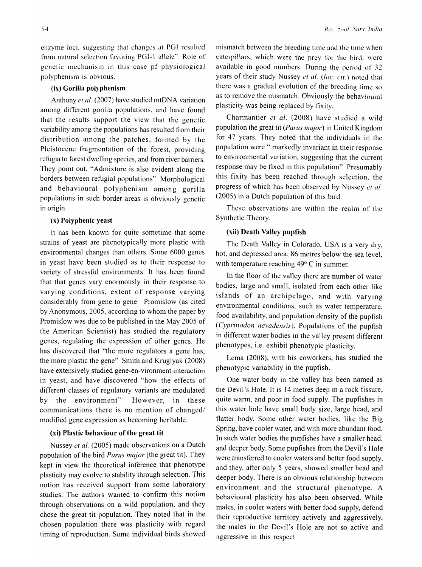enzyme loci, suggesting that changes at PGI resulted from natural selection favoring PGI-l allele" Role of genetic mechanism in this case pf physiological polyphenism is obvious.

#### (ix) Gorilla polyphenism

Anthony *et at.* (2007) have studied mtDNA variation among different gorilla populations, and have found that the results support the view that the genetic variability among the populations has resulted from their distribution among the patches, formed by the Pleistocene fragmentation of the forest, providing refugia to forest dwelling species, and from river barriers. They point out, "Admixture is also evident along the borders between refugial populations" Morphological and behavioural polyphenism among gorilla populations in such border areas is obviously genetic in origin.

## (x) Polyphenic yeast

It has been known for quite sometime that some strains of yeast are phenotypically more plastic with environmental changes than others. Some 6000 genes in yeast have been studied as to their response to variety of stressful environments. It has been found that that genes vary enormously in their response to varying conditions, extent of response varying considerably from gene to gene Promislow (as cited by Anonymous, 2005, according to whom the paper by Promislow was due to be published in the May 2005 of the American Scientist) has studied the regulatory genes, regulating the expression of other genes. He has discovered that "the more regulators a gene has, the more plastic the gene" Smith and Kruglyak (2008) have extensively studied gene-en-vironment interaction in yeast, and have discovered "how the effects of different classes of regulatory variants are modulated by the environment" However, in these communications there is no mention of changed/ modified gene expression as becoming heritable.

## (xi) Plastic behaviour of the great tit

Nussey et al. (2005) made observations on a Dutch population of the bird *Parus major* (the great tit). They kept in view the theoretical inference that phenotype plasticity may evolve to stability through selection. This notion has received support from some laboratory studies. The authors wanted to confirm this notion through observations on a wild population, and they chose the great tit population. They noted that in the chosen population there was plasticity with regard timing of reproduction. Some individual birds showed mismatch between the breeding time and the time when caterpillars, which were the prey for the bird, were available in good numbers. During the period of 32 years of their study Nussey et al. (loc. cit.) noted that there was a gradual evolution of the breeding time so as to remove the mismatch. Obviously the behavioural plasticity was being replaced by fixity.

Charmantier *et al.* (2008) have studied a wild population the great tit *(Panls major)* in United Kingdom for 47 years. They noted that the individuals in the population were" markedly invariant in their response to environmental variation, suggesting that the current response may be fixed in this population" Presumably this fixity has been reached through selection, the progress of which has been observed by Nussey *el al.*  (2005) in a Dutch population of this bird.

These observations are within the realm of the Synthetic Theory.

## (xii) Death Valley pupfish

The Death Valley in Colorado, USA is a very dry, hot, and depressed area, 86 metres below the sea level, with temperature reaching  $49^{\circ}$  C in summer.

In the floor of the valley there are number of water bodies, large and small, isolated from each other like islands of an archipelago, and with varying environmental conditions, such as water temperature, food availability, and population density of the pupfish *(Cyprinodon nevadensis).* Populations of the pupfish in different water bodies in the valley present different phenotypes, i.e. exhibit phenotypic plasticity.

Lema (2008), with his coworkers, has studied the phenotypic variability in the pupfish.

One water body in the valley has been named as the Devil's Hole. It is 14 metres deep in a rock fissure, quite warm, and poor in food supply. The pupfishes in this water hole have small body size, large head, and flatter body. Some other water bodies, like the Big Spring, have cooler water, and with more abundant food. In such water bodies the pupfishes have a smaller head, and deeper body. Some pupfishes from the Devil's Hole were transferred to cooler waters and better food supply, and they, after only 5 years, showed smaller head and deeper body. There is an obvious relationship between environment and the structural phenotype. A behavioural plasticity has also been observed. While males, in cooler waters with better food supply, defend their reproductive territory actively and aggressively, the males in the Devil's Hole are not so active and aggressive in this respect.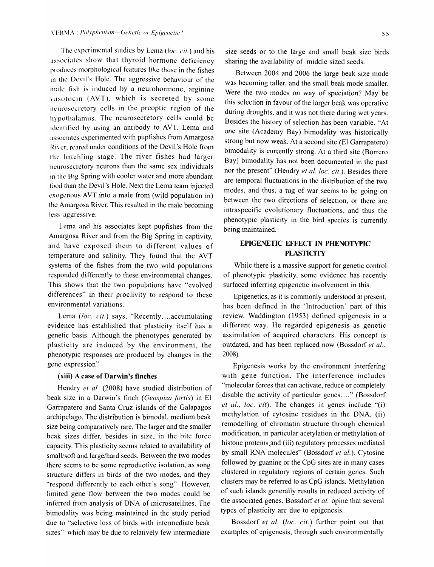The experimental studies by Lema ( $loc.$  cit.) and his associates show that thyroid hormone deficiency produces morphological features like those in the fishes in the Devil's Hole. The aggressive behaviour of the male fish is induced by a neurohormone, arginine vasotocin (AVT), which is secreted by some neurosecretory cells in the preoptic region of the hypothalamus. The neurosecretory cells could be identified by using an antibody to AVT. Lema and associates experimented with pupfishes from Amargosa River, reared under conditions of the Devil's Hole from thc hatchling stage. The river fishes had larger ncurosecretory neurons than the same sex individuals in the Big Spring with cooler water and more abundant food than the Devil's Hole. Next the Lema team injected exogenous AVT into a male from (wild population in) the Amargosa River. This resulted in the male becoming less aggressive.

Lema and his associates kept pupfishes from the Amargosa River and from the Big Spring in captivity, and have exposed them to different values of temperature and salinity. They found that the AVT systems of the fishes from the two wild populations responded differently to these environmental changes. This shows that the two populations have "evolved differences" in their proclivity to respond to these environmental variations.

Lema (loc. cit.) says, "Recently ... accumulating evidence has established that plasticity itself has a genetic basis. Although the phenotypes generated by plasticity are induced by the environment, the phenotypic responses are produced by changes in the gene expression"

## **(xiii) A** case **of Darwin's finches**

Hendry *et al.* (2008) have studied distribution of beak size in a Darwin's finch *(Geospiza fortis)* in EI Garrapatero and Santa Cruz islands of the Galapagos archipelago. The distribution is bimodal, medium beak size being comparatively rare. The larger and the smaller beak sizes differ, besides in size, in the bite force capacity. This plasticity seems related to availability of small/soft and large/hard seeds. Between the two modes there seems to be some reproductive isolation, as song structure differs in birds of the two modes, and they "respond differently to each other's song" However, limited gene flow between the two modes could be inferred from analysis of DNA of microsatellites. The bimodality was being maintained in the study period due to "selective loss of birds with intermediate beak sizes" which may be due to relatively few intermediate

size seeds or to the large and small beak size birds sharing the availability of middle sized seeds.

Between 2004 and 2006 the large beak size mode was becoming taller, and the small beak mode smaller. Were the two modes on way of speciation? May be this selection in favour of the larger beak was operative during droughts, and it was not there during wet years. Besides the history of selection has been variable. "At one site (Academy Bay) bimodality was historically strong but now weak. At a second site (EI Garrapatero) bimodality is currently strong. At a third site (Borrero Bay) bimodality has not been documented in the past nor the present" (Hendry *et al. loc. cit.).* Besides there are temporal fluctuations in the distribution of the two modes, and thus, a tug of war seems to be going on between the two directions of selection, or there are intraspecific evolutionary fluctuations, and thus the phenotypic plasticity in the bird species is currently being maintained.

# **EPIGENETIC EFFECT IN PHENOTYPIC PLASTICITY**

While there is a massive support for genetic control of phenotypic plasticity, some evidence has recently surfaced inferring epigenetic involvement in this.

Epigenetics, as it is commonly understood at present, has been defined in the 'Introduction' part of this review. Waddington (1953) defined epigenesis in a different way. He regarded epigenesis as genetic assimilation of acquired characters. His concept is outdated, and has been replaced now (Bossdorf *et al.,*  2008).

Epigenesis works by the environment interfering with gene function. The interference includes "molecular forces that can activate, reduce or completely disable the activity of particular genes...." (Bossdorf *et al., loc. cit).* The changes in genes include "(i) methylation of cytosine residues in the DNA, (ii) remodelling of chromatin structure through chemical modification, in particular acetylation or methylation of histone proteins and (iii) regulatory processes mediated by small RNA molecules" (Bossdorf *et al.).* Cytosine followed by guanine or the  $CpG$  sites are in many cases clustered in regulatory regions of certain genes. Such clusters may be referred to as CpG islands. Methylation of such islands generally results in reduced activity of the associated genes. Bossdorf *et al.* opine that several types of plasticity are due to epigenesis.

Bossdorf *et al. (loc. cit.)* further point out that examples of epigenesis, through such environmentally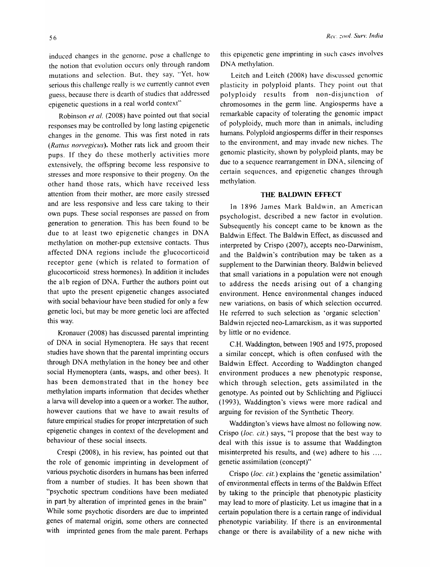induced changes in the genome, pose a challenge to the notion that evolution occurs only through random mutations and selection. But. they say, "Yet, how serious this challenge really is we currently cannot even guess, because there is dearth of studies that addressed epigenetic questions in a real world context"

Robinson *et al.* (2008) have pointed out that social responses may be controlled by long lasting epigenetic changes in the genome. This was first noted in rats *(Rattus norvegicus).* Mother rats lick and groom their pups. If they do these motherly activities more extensively, the offspring become less responsive to stresses and more responsive to their progeny. On the other hand those rats, which have received less attention from their mother, are more easily stressed and are less responsive and less care taking to their own pups. These social responses are passed on from generation to generation. This has been found to be due to at least two epigenetic changes in DNA methylation on mother-pup extensive contacts. Thus affected DNA regions include the glucocorticoid receptor gene (which is related to formation of glucocorticoid stress hormones). In addition it includes the alb region of DNA. Further the authors point out that upto the present epigenetic changes associated with social behaviour have been studied for only a few genetic loci, but may be more genetic loci are affected this way.

Kronauer (2008) has discussed parental imprinting of DNA in social Hymenoptera. He says that recent studies have shown that the parental imprinting occurs through DNA methylation in the honey bee and other social Hymenoptera (ants, wasps, and other bees). It has been demonstrated that in the honey bee methylation imparts information that decides whether a larva will develop into a queen or a worker. The author, however cautions that we have to await results of future empirical studies for proper interpretation of such epigenetic changes in context of the development and behaviour of these social insects.

Crespi (2008), in his review, has pointed out that the role of genomic imprinting in development of various psychotic disorders in humans has been inferred from a number of studies. It has been shown that "psychotic spectrum conditions have been mediated in part by alteration of imprinted genes in the brain" While some psychotic disorders are due to imprinted genes of maternal origin, some others are connected with imprinted genes from the male parent. Perhaps

this epigenetic gene imprinting in such cases involves DNA methylation.

Leitch and Leitch (200R) have discussed genomic plasticity in polyploid plants. They point out that polyploidy results from non-disjunction of chromosomes in the germ line. Angiosperms have a remarkable capacity of tolerating the genomic impact of polyploidy, much more than in animals, including humans. Polyploid angiosperms differ in their responses to the environment, and may invade new niches. The genomic plasticity, shown by polyploid plants, may be due to a sequence rearrangement in DNA, silencing of certain sequences, and epigenetic changes through methylation.

## **THE BALDWIN EFFECf**

In 1896 James Mark Baldwin, an American psychologist, described a new factor in evolution. Subsequently his concept caine to be known as the Baldwin Effect. The Baldwin Effect, as discussed and interpreted by Crispo (2007), accepts neo-Darwinism, and the Baldwin's contribution may be taken as a supplement to the Darwinian theory. Baldwin believed that small variations in a population were not enough to address the needs arising out of a changing environment. Hence environmental changes induced new variations, on basis of which selection occurred. He referred to such selection as 'organic selection' Baldwin rejected neo-Lamarckism, as it was supported by little or no evidence.

C.H. Waddington, between 1905 and 1975, proposed a similar concept, which is often confused with the Baldwin Effect. According to Waddington changed environment produces a new phenotypic response, which through selection, gets assimilated in the genotype. As pointed out by Schlichting and Pigliucci (1993), Waddington's views were more radical and arguing for revision of the Synthetic Theory.

Waddington's views have almost no following now. Crispo *(loc.* cit.) says, "I propose that the best way to deal with this issue is to assume that Waddington misinterpreted his results, and (we) adhere to his .... genetic assimilation (concept)"

Crispo *(loc.* cit.) explains the • genetic assimilation' of environmental effects in terms of the Baldwin Effect by taking to the principle that phenotypic plasticity may lead to more of plasticity. Let us imagine that in a certain population there is a certain range of individual phenotypic variability. If there is an environmental change or there is availability of a new niche with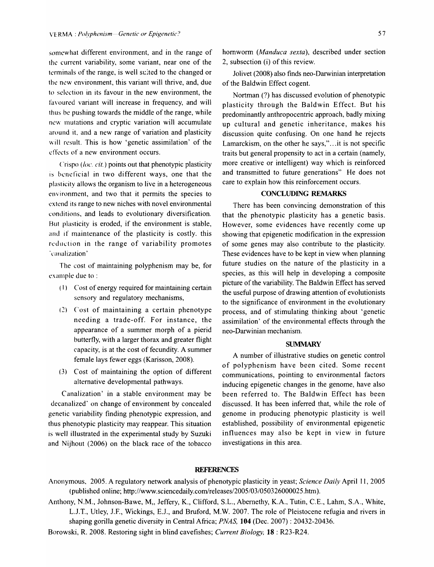somewhat different environment, and in the range of the current variability, some variant, near one of the terminals of the range, is well suited to the changed or the new environment, this variant will thrive, and, due to selection in its favour in the new environment, the favoured variant will increase in frequency, and will thus be pushing towards the middle of the range, while new mutations and cryptic variation will accumulate around it, and a new range of variation and plasticity will result. This is how 'genetic assimilation' of the effects of a new environment occurs.

Crispo *(/oc. cit.)* points out that phenotypic plasticity is beneficial in two different ways, one that the plasticity allows the organism to live in a heterogeneous environment, and two that it permits the species to extend its range to new niches with novel environmental conditions, and leads to evolutionary diversification. But plasticity is eroded, if the environment is stable, and if maintenance of the plasticity is costly. this reduction in the range of variability promotes . canalization'

The cost of maintaining polyphenism may be, for example due to :

- (I) Cost of energy required for maintaining certain sensory and regulatory mechanisms,
- (2) Cost of maintaining a certain phenotype needing a trade-off. For instance, the appearance of a summer morph of a pierid butterfly, with a larger thorax and greater flight capacity, is at the cost of fecundity. A summer female lays fewer eggs (Karisson, 2008).
- (3) Cost of maintaining the option of different alternative developmental pathways.

Canalization' in a stable environment may be decanalized' on change of environment by concealed genetic variability finding phenotypic expression, and thus phenotypic plasticity may reappear. This situation is well illustrated in the experimental study by Suzuki and Nijhout (2006) on the black race of the tobacco hornworm *(Manduca sexta),* described under section 2, subsection (i) of this review.

Jolivet (2008) also finds neo-Darwinian interpretation of the Baldwin Effect cogent.

Nortman (?) has discussed evolution of phenotypic plasticity through the Baldwin Effect. But his predominantly anthropocentric approach, badly mixing up cultural and genetic inheritance, makes his discussion quite confusing. On one hand he rejects Lamarckism, on the other he says,"... it is not specific traits but general propensity to act in a certain (namely, more creative or intelligent) way which is reinforced and transmitted to future generations" He does not care to explain how this reinforcement occurs.

## **CONCLUDING REMARKS**

There has been convincing demonstration of this that the phenotypic plasticity has a genetic basis. However, some evidences have recently come up showing that epigenetic modification in the expression of some genes may also contribute to the plasticity. These evidences have to be kept in view when planning future studies on the nature of the plasticity in a species, as this will help in developing a composite picture of the variability. The Baldwin Effect has served the useful purpose of drawing attention of evolutionists to the significance of environment in the evolutionary process, and of stimulating thinking about 'genetic assimilation' of the environmental effects through the neo-Darwinian mechanism.

#### **SUMMARY**

A number of illustrative studies on genetic control of polyphenism have been cited. Some recent communications, pointing to environmental factors inducing epigenetic changes in the genome, have also been referred to. The Baldwin Effect has been discussed. It has been inferred that, while the role of genome in producing phenotypic plasticity is well established, possibility of environmental epigenetic influences may also be kept in view in future investigations in this area.

#### **REFERENCES**

- Anonymous, 2005. A regulatory network analysis of phenotypic plasticity in yeast; *Science Daily* April 11, 2005 (published online; http://www.sciencedaily.com/releases/200S/03/0S032600002S.htm).
- Anthony, N.M., Johnson-Bawe, M., Jeffery, K., Clifford, S.L., Abernethy, K.A., Tutin, C.E., Lahm, S.A., White, L.1.T., Utley, J.P., Wickings, E.J., and Bruford, M.W. 2007. The role of Pleistocene refugia and rivers in shaping gorilla genetic diversity in Central Africa; *PNAS,* **104** (Dec. 2007) : 20432-20436.
- Borowski, R. 2008. Restoring sight in blind cavefishes; *Current Biology,* **18** : R23-R24.